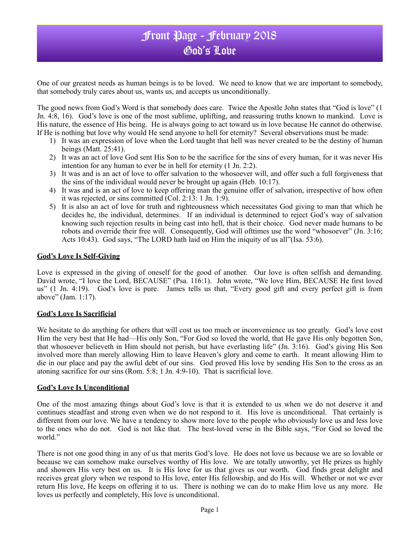## Front Page - February 2018 God's Love

One of our greatest needs as human beings is to be loved. We need to know that we are important to somebody, that somebody truly cares about us, wants us, and accepts us unconditionally.

The good news from God's Word is that somebody does care. Twice the Apostle John states that "God is love" (1 Jn. 4:8, 16). God's love is one of the most sublime, uplifting, and reassuring truths known to mankind. Love is His nature, the essence of His being. He is always going to act toward us in love because He cannot do otherwise. If He is nothing but love why would He send anyone to hell for eternity? Several observations must be made:

- 1) It was an expression of love when the Lord taught that hell was never created to be the destiny of human beings (Matt. 25:41).
- 2) It was an act of love God sent His Son to be the sacrifice for the sins of every human, for it was never His intention for any human to ever be in hell for eternity (1 Jn. 2:2).
- 3) It was and is an act of love to offer salvation to the whosoever will, and offer such a full forgiveness that the sins of the individual would never be brought up again (Heb. 10:17).
- 4) It was and is an act of love to keep offering man the genuine offer of salvation, irrespective of how often it was rejected, or sins committed (Col. 2:13: 1 Jn. 1:9).
- 5) It is also an act of love for truth and righteousness which necessitates God giving to man that which he decides he, the individual, determines. If an individual is determined to reject God's way of salvation knowing such rejection results in being cast into hell, that is their choice. God never made humans to be robots and override their free will. Consequently, God will ofttimes use the word "whosoever" (Jn. 3:16; Acts 10:43). God says, "The LORD hath laid on Him the iniquity of us all"(Isa. 53:6).

## **God's Love Is Self-Giving**

Love is expressed in the giving of oneself for the good of another. Our love is often selfish and demanding. David wrote, "I love the Lord, BECAUSE" (Psa. 116:1). John wrote, "We love Him, BECAUSE He first loved us" (1 Jn. 4:19).God's love is pure. James tells us that, "Every good gift and every perfect gift is from above" (Jam. 1:17).

### **God's Love Is Sacrificial**

We hesitate to do anything for others that will cost us too much or inconvenience us too greatly. God's love cost Him the very best that He had—His only Son, "For God so loved the world, that He gave His only begotten Son, that whosoever believeth in Him should not perish, but have everlasting life" (Jn. 3:16). God's giving His Son involved more than merely allowing Him to leave Heaven's glory and come to earth. It meant allowing Him to die in our place and pay the awful debt of our sins. God proved His love by sending His Son to the cross as an atoning sacrifice for our sins (Rom. 5:8; 1 Jn. 4:9-10). That is sacrificial love.

### **God's Love Is Unconditional**

One of the most amazing things about God's love is that it is extended to us when we do not deserve it and continues steadfast and strong even when we do not respond to it. His love is unconditional. That certainly is different from our love. We have a tendency to show more love to the people who obviously love us and less love to the ones who do not. God is not like that. The best-loved verse in the Bible says, "For God so loved the world."

There is not one good thing in any of us that merits God's love. He does not love us because we are so lovable or because we can somehow make ourselves worthy of His love. We are totally unworthy, yet He prizes us highly and showers His very best on us. It is His love for us that gives us our worth. God finds great delight and receives great glory when we respond to His love, enter His fellowship, and do His will. Whether or not we ever return His love, He keeps on offering it to us. There is nothing we can do to make Him love us any more. He loves us perfectly and completely, His love is unconditional.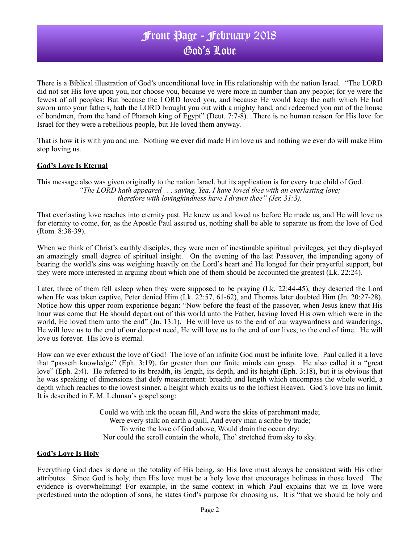# Front Page - February 2018 God's Love

There is a Biblical illustration of God's unconditional love in His relationship with the nation Israel. "The LORD did not set His love upon you, nor choose you, because ye were more in number than any people; for ye were the fewest of all peoples: But because the LORD loved you, and because He would keep the oath which He had sworn unto your fathers, hath the LORD brought you out with a mighty hand, and redeemed you out of the house of bondmen, from the hand of Pharaoh king of Egypt" (Deut. 7:7-8). There is no human reason for His love for Israel for they were a rebellious people, but He loved them anyway.

That is how it is with you and me. Nothing we ever did made Him love us and nothing we ever do will make Him stop loving us.

## **God's Love Is Eternal**

This message also was given originally to the nation Israel, but its application is for every true child of God. *"The LORD hath appeared . . . saying, Yea, I have loved thee with an everlasting love; therefore with lovingkindness have I drawn thee" (Jer. 31:3).*

That everlasting love reaches into eternity past. He knew us and loved us before He made us, and He will love us for eternity to come, for, as the Apostle Paul assured us, nothing shall be able to separate us from the love of God (Rom. 8:38-39).

When we think of Christ's earthly disciples, they were men of inestimable spiritual privileges, yet they displayed an amazingly small degree of spiritual insight. On the evening of the last Passover, the impending agony of bearing the world's sins was weighing heavily on the Lord's heart and He longed for their prayerful support, but they were more interested in arguing about which one of them should be accounted the greatest (Lk. 22:24).

Later, three of them fell asleep when they were supposed to be praying (Lk. 22:44-45), they deserted the Lord when He was taken captive, Peter denied Him (Lk. 22:57, 61-62), and Thomas later doubted Him (Jn. 20:27-28). Notice how this upper room experience began: "Now before the feast of the passover, when Jesus knew that His hour was come that He should depart out of this world unto the Father, having loved His own which were in the world, He loved them unto the end" (Jn. 13:1). He will love us to the end of our waywardness and wanderings, He will love us to the end of our deepest need, He will love us to the end of our lives, to the end of time. He will love us forever. His love is eternal.

How can we ever exhaust the love of God! The love of an infinite God must be infinite love. Paul called it a love that "passeth knowledge" (Eph. 3:19), far greater than our finite minds can grasp. He also called it a "great love" (Eph. 2:4). He referred to its breadth, its length, its depth, and its height (Eph. 3:18), but it is obvious that he was speaking of dimensions that defy measurement: breadth and length which encompass the whole world, a depth which reaches to the lowest sinner, a height which exalts us to the loftiest Heaven. God's love has no limit. It is described in F. M. Lehman's gospel song:

> Could we with ink the ocean fill, And were the skies of parchment made; Were every stalk on earth a quill, And every man a scribe by trade; To write the love of God above, Would drain the ocean dry; Nor could the scroll contain the whole, Tho' stretched from sky to sky.

### **God's Love Is Holy**

Everything God does is done in the totality of His being, so His love must always be consistent with His other attributes. Since God is holy, then His love must be a holy love that encourages holiness in those loved. The evidence is overwhelming! For example, in the same context in which Paul explains that we in love were predestined unto the adoption of sons, he states God's purpose for choosing us. It is "that we should be holy and